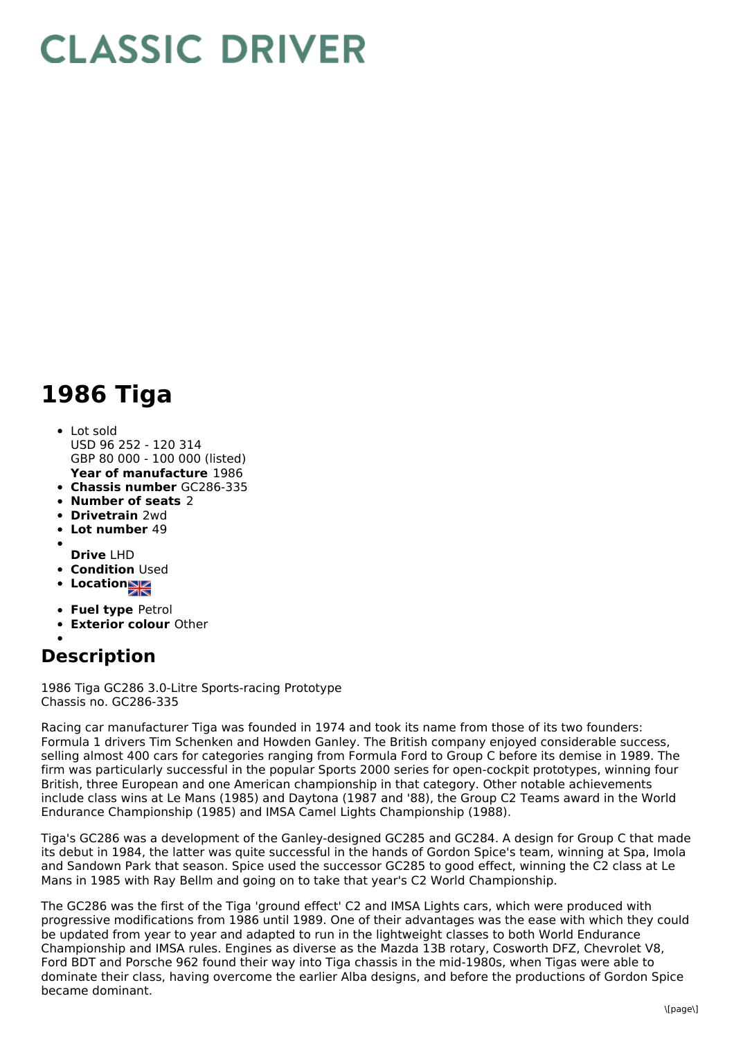## **CLASSIC DRIVER**

## **1986 Tiga**

## **Year of manufacture** 1986 Lot sold USD 96 252 - 120 314 GBP 80 000 - 100 000 (listed)

- **Chassis number** GC286-335
- **Number of seats** 2
- **Drivetrain** 2wd
- **Lot number** 49
- 
- **Drive** LHD
- **Condition Used**
- **Locations**
- **Fuel type** Petrol
- **Exterior colour** Other
- 

## **Description**

1986 Tiga GC286 3.0-Litre Sports-racing Prototype Chassis no. GC286-335

Racing car manufacturer Tiga was founded in 1974 and took its name from those of its two founders: Formula 1 drivers Tim Schenken and Howden Ganley. The British company enjoyed considerable success, selling almost 400 cars for categories ranging from Formula Ford to Group C before its demise in 1989. The firm was particularly successful in the popular Sports 2000 series for open-cockpit prototypes, winning four British, three European and one American championship in that category. Other notable achievements include class wins at Le Mans (1985) and Daytona (1987 and '88), the Group C2 Teams award in the World Endurance Championship (1985) and IMSA Camel Lights Championship (1988).

Tiga's GC286 was a development of the Ganley-designed GC285 and GC284. A design for Group C that made its debut in 1984, the latter was quite successful in the hands of Gordon Spice's team, winning at Spa, Imola and Sandown Park that season. Spice used the successor GC285 to good effect, winning the C2 class at Le Mans in 1985 with Ray Bellm and going on to take that year's C2 World Championship.

The GC286 was the first of the Tiga 'ground effect' C2 and IMSA Lights cars, which were produced with progressive modifications from 1986 until 1989. One of their advantages was the ease with which they could be updated from year to year and adapted to run in the lightweight classes to both World Endurance Championship and IMSA rules. Engines as diverse as the Mazda 13B rotary, Cosworth DFZ, Chevrolet V8, Ford BDT and Porsche 962 found their way into Tiga chassis in the mid-1980s, when Tigas were able to dominate their class, having overcome the earlier Alba designs, and before the productions of Gordon Spice became dominant.